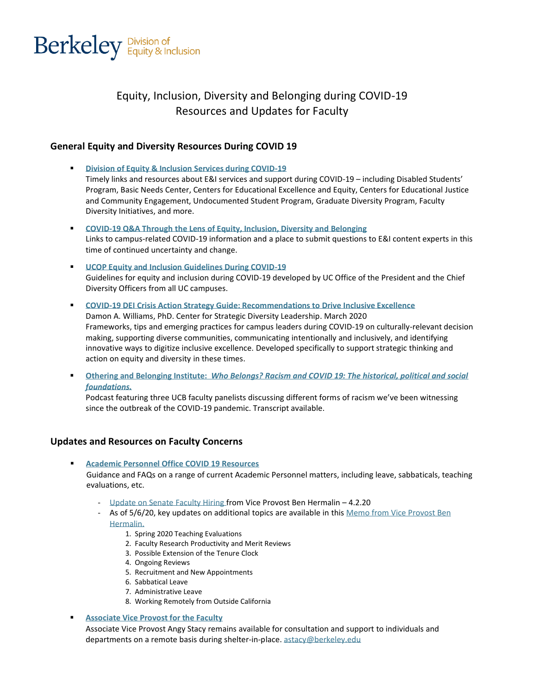

# Equity, Inclusion, Diversity and Belonging during COVID-19 Resources and Updates for Faculty

# **General Equity and Diversity Resources During COVID 19**

- **[Division of Equity & Inclusion Services during COVID-19](https://diversity.berkeley.edu/covid-19-ei-here-serve-you)** Timely links and resources about E&I services and support during COVID-19 – including Disabled Students' Program, Basic Needs Center, Centers for Educational Excellence and Equity, Centers for Educational Justice and Community Engagement, Undocumented Student Program, Graduate Diversity Program, Faculty Diversity Initiatives, and more.
- **[COVID-19 Q&A Through the Lens of Equity, Inclusion, Diversity and Belonging](http://diversity.berkeley.edu/covid-19-questions-answers-ei-leaders)**  Links to campus-related COVID-19 information and a place to submit questions to E&I content experts in this time of continued uncertainty and change.
- **[UCOP Equity and Inclusion Guidelines During COVID-19](https://diversity.universityofcalifornia.edu/policies-guidelines/covid-19.html)** Guidelines for equity and inclusion during COVID-19 developed by UC Office of the President and the Chief Diversity Officers from all UC campuses.
- **[COVID-19 DEI Crisis Action Strategy Guide: Recommendations to Drive Inclusive Excellence](https://diversity.ucsf.edu/sites/diversity.ucsf.edu/files/NIXLA_COVID19_DEI_Strategy-Guide.pdf)**  Damon A. Williams, PhD. Center for Strategic Diversity Leadership. March 2020 Frameworks, tips and emerging practices for campus leaders during COVID-19 on culturally-relevant decision making, supporting diverse communities, communicating intentionally and inclusively, and identifying innovative ways to digitize inclusive excellence. Developed specifically to support strategic thinking and action on equity and diversity in these times.
- **Othering and Belonging Institute:** *[Who Belongs? Racism and COVID 19: The historical, political and social](https://belonging.berkeley.edu/whobelongs/covid19-racism)  [foundations.](https://belonging.berkeley.edu/whobelongs/covid19-racism)*

Podcast featuring three UCB faculty panelists discussing different forms of racism we've been witnessing since the outbreak of the COVID-19 pandemic. Transcript available.

# **Updates and Resources on Faculty Concerns**

▪ **[Academic Personnel Office COVID 19 Resources](https://apo.berkeley.edu/quick-links/covid-19-and-ap-issues)** 

Guidance and FAQs on a range of current Academic Personnel matters, including leave, sabbaticals, teaching evaluations, etc.

- [Update on Senate Faculty Hiring f](https://apo.berkeley.edu/sites/default/files/senate_faculty_hiring_v2.pdf)rom Vice Provost Ben Hermalin 4.2.20
- As of 5/6/20, key updates on additional topics are available in this [Memo from Vice Provost Ben](https://apo.berkeley.edu/sites/default/files/academic_personnel_senate_faculty_guidance.pdf)  [Hermalin.](https://apo.berkeley.edu/sites/default/files/academic_personnel_senate_faculty_guidance.pdf)
	- 1. Spring 2020 Teaching Evaluations
	- 2. Faculty Research Productivity and Merit Reviews
	- 3. Possible Extension of the Tenure Clock
	- 4. Ongoing Reviews
	- 5. Recruitment and New Appointments
	- 6. Sabbatical Leave
	- 7. Administrative Leave
	- 8. Working Remotely from Outside California

### **[Associate Vice Provost for the Faculty](https://ofew.berkeley.edu/associate-vice-provost-angelica-stacy)**

Associate Vice Provost Angy Stacy remains available for consultation and support to individuals and departments on a remote basis during shelter-in-place. [astacy@berkeley.edu](mailto:astacy@berkeley.edu)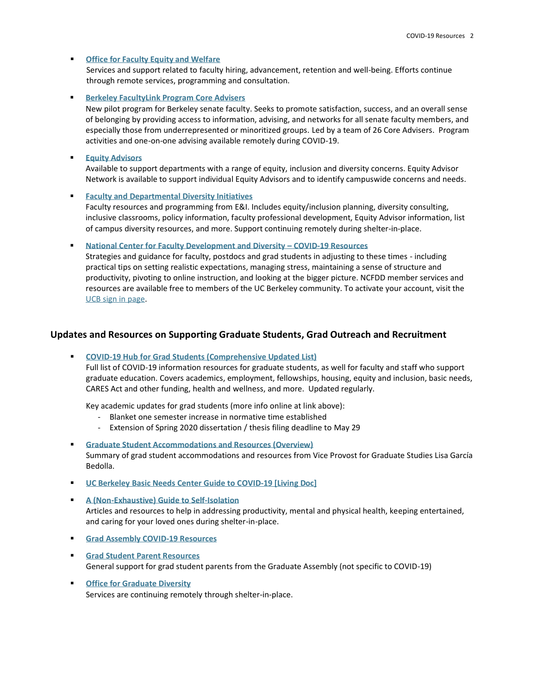#### **Office for Faculty Equity and Welfare**

Services and support related to faculty hiring, advancement, retention and well-being. Efforts continue through remote services, programming and consultation.

#### **[Berkeley FacultyLink Program Core Advisers](https://ofew.berkeley.edu/welfare/faculty-link)**

New pilot program for Berkeley senate faculty. Seeks to promote satisfaction, success, and an overall sense of belonging by providing access to information, advising, and networks for all senate faculty members, and especially those from underrepresented or minoritized groups. Led by a team of 26 Core Advisers. Program activities and one-on-one advising available remotely during COVID-19.

### **[Equity Advisors](https://campusclimate.berkeley.edu/faculty/our-programs-and-services/faculty-equity-advisors)**

Available to support departments with a range of equity, inclusion and diversity concerns. Equity Advisor Network is available to support individual Equity Advisors and to identify campuswide concerns and needs.

#### ▪ **[Faculty and Departmental Diversity Initiatives](https://campusclimate.berkeley.edu/faculty)**

Faculty resources and programming from E&I. Includes equity/inclusion planning, diversity consulting, inclusive classrooms, policy information, faculty professional development, Equity Advisor information, list of campus diversity resources, and more. Support continuing remotely during shelter-in-place.

#### ▪ **[National Center for Faculty Development and Diversity](https://www.facultydiversity.org/covid19) – COVID-19 Resources**

Strategies and guidance for faculty, postdocs and grad students in adjusting to these times - including practical tips on setting realistic expectations, managing stress, maintaining a sense of structure and productivity, pivoting to online instruction, and looking at the bigger picture. NCFDD member services and resources are available free to members of the UC Berkeley community. To activate your account, visit the [UCB sign in page.](https://www.facultydiversity.org/institutions/berkeley) 

### **Updates and Resources on Supporting Graduate Students, Grad Outreach and Recruitment**

### ▪ **[COVID-19 Hub for Grad Students \(Comprehensive Updated List\)](https://grad.berkeley.edu/covid-19-information-for-graduate-students/)**

Full list of COVID-19 information resources for graduate students, as well for faculty and staff who support graduate education. Covers academics, employment, fellowships, housing, equity and inclusion, basic needs, CARES Act and other funding, health and wellness, and more. Updated regularly.

Key academic updates for grad students (more info online at link above):

- Blanket one semester increase in normative time established
- Extension of Spring 2020 dissertation / thesis filing deadline to May 29
- **[Graduate Student Accommodations and Resources \(Overview\)](https://grad.berkeley.edu/news/dean/learn-about-new-graduate-student-accommodations-and-resources/)** Summary of grad student accommodations and resources from Vice Provost for Graduate Studies Lisa García Bedolla.
- **[UC Berkeley Basic Needs Center Guide to COVID-19 \[Living Doc\]](https://docs.google.com/document/d/1WwPF-Q3Z8EXBfM-Wf_WwBzdTU39hfz85JL2F8Z5IfDE/edit)**
- **[A \(Non-Exhaustive\) Guide to Self-Isolation](https://grad.berkeley.edu/news/student-life/a-non-exhaustive-guide-to-self-isolation/)** Articles and resources to help in addressing productivity, mental and physical health, keeping entertained, and caring for your loved ones during shelter-in-place.
- **[Grad Assembly COVID-19 Resources](http://ga.berkeley.edu/resources/covid-19-graduate-student-resources/)**
- **[Grad Student Parent Resources](http://ga.berkeley.edu/resources/grad-parent-resources/)** General support for grad student parents from the Graduate Assembly (not specific to COVID-19)
- **[Office for Graduate Diversity](https://diversity.berkeley.edu/programs-services/graduate/office-graduate-diversity)** Services are continuing remotely through shelter-in-place.